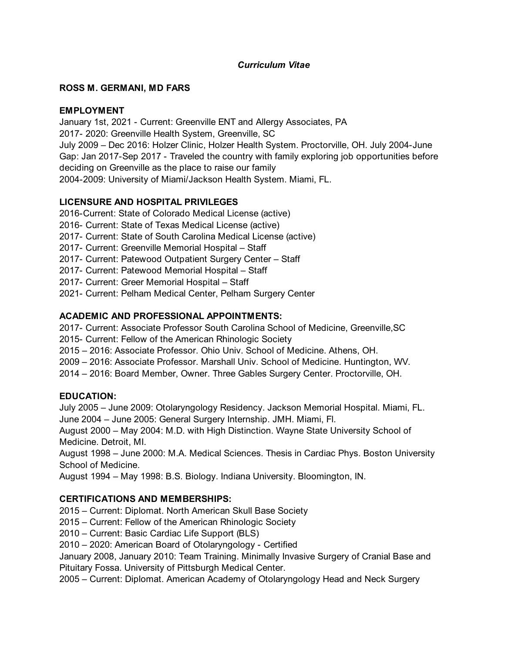# *Curriculum Vitae*

### **ROSS M. GERMANI, MD FARS**

### **EMPLOYMENT**

January 1st, 2021 - Current: Greenville ENT and Allergy Associates, PA 2017- 2020: Greenville Health System, Greenville, SC July 2009 – Dec 2016: Holzer Clinic, Holzer Health System. Proctorville, OH. July 2004-June Gap: Jan 2017-Sep 2017 - Traveled the country with family exploring job opportunities before deciding on Greenville as the place to raise our family 2004-2009: University of Miami/Jackson Health System. Miami, FL.

# **LICENSURE AND HOSPITAL PRIVILEGES**

2016-Current: State of Colorado Medical License (active)

- 2016- Current: State of Texas Medical License (active)
- 2017- Current: State of South Carolina Medical License (active)
- 2017- Current: Greenville Memorial Hospital Staff
- 2017- Current: Patewood Outpatient Surgery Center Staff
- 2017- Current: Patewood Memorial Hospital Staff
- 2017- Current: Greer Memorial Hospital Staff
- 2021- Current: Pelham Medical Center, Pelham Surgery Center

### **ACADEMIC AND PROFESSIONAL APPOINTMENTS:**

2017- Current: Associate Professor South Carolina School of Medicine, Greenville,SC

2015- Current: Fellow of the American Rhinologic Society

2015 – 2016: Associate Professor. Ohio Univ. School of Medicine. Athens, OH.

2009 – 2016: Associate Professor. Marshall Univ. School of Medicine. Huntington, WV.

2014 – 2016: Board Member, Owner. Three Gables Surgery Center. Proctorville, OH.

# **EDUCATION:**

July 2005 – June 2009: Otolaryngology Residency. Jackson Memorial Hospital. Miami, FL. June 2004 – June 2005: General Surgery Internship. JMH. Miami, Fl.

August 2000 – May 2004: M.D. with High Distinction. Wayne State University School of Medicine. Detroit, MI.

August 1998 – June 2000: M.A. Medical Sciences. Thesis in Cardiac Phys. Boston University School of Medicine.

August 1994 – May 1998: B.S. Biology. Indiana University. Bloomington, IN.

# **CERTIFICATIONS AND MEMBERSHIPS:**

2015 – Current: Diplomat. North American Skull Base Society

2015 – Current: Fellow of the American Rhinologic Society

2010 – Current: Basic Cardiac Life Support (BLS)

2010 – 2020: American Board of Otolaryngology - Certified

January 2008, January 2010: Team Training. Minimally Invasive Surgery of Cranial Base and Pituitary Fossa. University of Pittsburgh Medical Center.

2005 – Current: Diplomat. American Academy of Otolaryngology Head and Neck Surgery